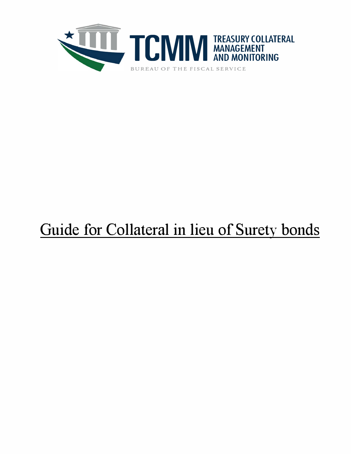

# Guide for Collateral in lieu of Surety bonds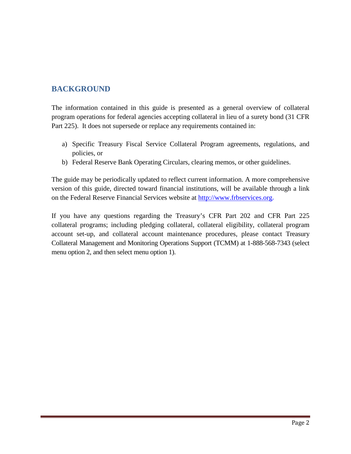# **BACKGROUND**

The information contained in this guide is presented as a general overview of collateral program operations for federal agencies accepting collateral in lieu of a surety bond (31 CFR Part 225). It does not supersede or replace any requirements contained in:

- a) Specific Treasury Fiscal Service Collateral Program agreements, regulations, and policies, or
- b) Federal Reserve Bank Operating Circulars, clearing memos, or other guidelines.

The guide may be periodically updated to reflect current information. A more comprehensive version of this guide, directed toward financial institutions, will be available through a link on the Federal Reserve Financial Services website at http:/[/www.frbservices.org.](http://www.frbservices.org/)

If you have any questions regarding the Treasury's CFR Part 202 and CFR Part 225 collateral programs; including pledging collateral, collateral eligibility, collateral program account set-up, and collateral account maintenance procedures, please contact Treasury Collateral Management and Monitoring Operations Support (TCMM) at 1-888-568-7343 (select menu option 2, and then select menu option 1).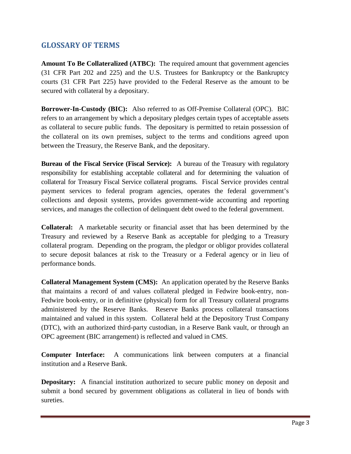## **GLOSSARY OF TERMS**

**Amount To Be Collateralized (ATBC):** The required amount that government agencies (31 CFR Part 202 and 225) and the U.S. Trustees for Bankruptcy or the Bankruptcy courts (31 CFR Part 225) have provided to the Federal Reserve as the amount to be secured with collateral by a depositary.

**Borrower-In-Custody (BIC):** Also referred to as Off-Premise Collateral (OPC). BIC refers to an arrangement by which a depositary pledges certain types of acceptable assets as collateral to secure public funds. The depositary is permitted to retain possession of the collateral on its own premises, subject to the terms and conditions agreed upon between the Treasury, the Reserve Bank, and the depositary.

**Bureau of the Fiscal Service (Fiscal Service):** A bureau of the Treasury with regulatory responsibility for establishing acceptable collateral and for determining the valuation of collateral for Treasury Fiscal Service collateral programs. Fiscal Service provides central payment services to federal program agencies, operates the federal government's collections and deposit systems, provides government-wide accounting and reporting services, and manages the collection of delinquent debt owed to the federal government.

**Collateral:** A marketable security or financial asset that has been determined by the Treasury and reviewed by a Reserve Bank as acceptable for pledging to a Treasury collateral program. Depending on the program, the pledgor or obligor provides collateral to secure deposit balances at risk to the Treasury or a Federal agency or in lieu of performance bonds.

**Collateral Management System (CMS):** An application operated by the Reserve Banks that maintains a record of and values collateral pledged in Fedwire book-entry, non-Fedwire book-entry, or in definitive (physical) form for all Treasury collateral programs administered by the Reserve Banks. Reserve Banks process collateral transactions maintained and valued in this system. Collateral held at the Depository Trust Company (DTC), with an authorized third-party custodian, in a Reserve Bank vault, or through an OPC agreement (BIC arrangement) is reflected and valued in CMS.

**Computer Interface:** A communications link between computers at a financial institution and a Reserve Bank.

**Depositary:** A financial institution authorized to secure public money on deposit and submit a bond secured by government obligations as collateral in lieu of bonds with sureties.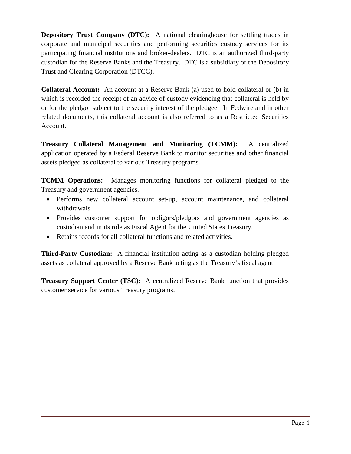**Depository Trust Company (DTC):** A national clearinghouse for settling trades in corporate and municipal securities and performing securities custody services for its participating financial institutions and broker-dealers. DTC is an authorized third-party custodian for the Reserve Banks and the Treasury. DTC is a subsidiary of the Depository Trust and Clearing Corporation (DTCC).

**Collateral Account:** An account at a Reserve Bank (a) used to hold collateral or (b) in which is recorded the receipt of an advice of custody evidencing that collateral is held by or for the pledgor subject to the security interest of the pledgee. In Fedwire and in other related documents, this collateral account is also referred to as a Restricted Securities Account.

**Treasury Collateral Management and Monitoring (TCMM):** A centralized application operated by a Federal Reserve Bank to monitor securities and other financial assets pledged as collateral to various Treasury programs.

**TCMM Operations:** Manages monitoring functions for collateral pledged to the Treasury and government agencies.

- Performs new collateral account set-up, account maintenance, and collateral withdrawals.
- Provides customer support for obligors/pledgors and government agencies as custodian and in its role as Fiscal Agent for the United States Treasury.
- Retains records for all collateral functions and related activities.

**Third-Party Custodian:** A financial institution acting as a custodian holding pledged assets as collateral approved by a Reserve Bank acting as the Treasury's fiscal agent.

**Treasury Support Center (TSC):** A centralized Reserve Bank function that provides customer service for various Treasury programs.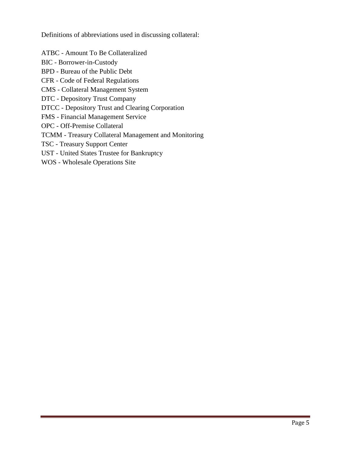Definitions of abbreviations used in discussing collateral:

ATBC - Amount To Be Collateralized

- BIC Borrower-in-Custody
- BPD Bureau of the Public Debt
- CFR Code of Federal Regulations
- CMS Collateral Management System
- DTC Depository Trust Company
- DTCC Depository Trust and Clearing Corporation
- FMS Financial Management Service
- OPC Off-Premise Collateral
- TCMM Treasury Collateral Management and Monitoring
- TSC Treasury Support Center
- UST United States Trustee for Bankruptcy
- WOS Wholesale Operations Site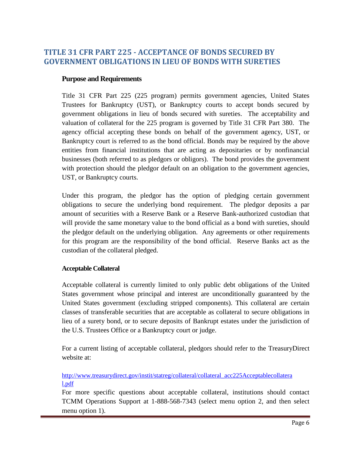## **TITLE 31 CFR PART 225 - ACCEPTANCE OF BONDS SECURED BY GOVERNMENT OBLIGATIONS IN LIEU OF BONDS WITH SURETIES**

#### **Purpose and Requirements**

Title 31 CFR Part 225 (225 program) permits government agencies, United States Trustees for Bankruptcy (UST), or Bankruptcy courts to accept bonds secured by government obligations in lieu of bonds secured with sureties. The acceptability and valuation of collateral for the 225 program is governed by Title 31 CFR Part 380. The agency official accepting these bonds on behalf of the government agency, UST, or Bankruptcy court is referred to as the bond official. Bonds may be required by the above entities from financial institutions that are acting as depositaries or by nonfinancial businesses (both referred to as pledgors or obligors). The bond provides the government with protection should the pledgor default on an obligation to the government agencies, UST, or Bankruptcy courts.

Under this program, the pledgor has the option of pledging certain government obligations to secure the underlying bond requirement. The pledgor deposits a par amount of securities with a Reserve Bank or a Reserve Bank-authorized custodian that will provide the same monetary value to the bond official as a bond with sureties, should the pledgor default on the underlying obligation. Any agreements or other requirements for this program are the responsibility of the bond official. Reserve Banks act as the custodian of the collateral pledged.

#### **Acceptable Collateral**

Acceptable collateral is currently limited to only public debt obligations of the United States government whose principal and interest are unconditionally guaranteed by the United States government (excluding stripped components). This collateral are certain classes of transferable securities that are acceptable as collateral to secure obligations in lieu of a surety bond, or to secure deposits of Bankrupt estates under the jurisdiction of the U.S. Trustees Office or a Bankruptcy court or judge.

For a current listing of acceptable collateral, pledgors should refer to the TreasuryDirect website at:

[http://www.treasurydirect.gov/instit/statreg/collateral/collateral\\_acc225Acceptablecollatera](http://www.treasurydirect.gov/instit/statreg/collateral/collateral_acc225Acceptablecollateral.pdf) [l.pdf](http://www.treasurydirect.gov/instit/statreg/collateral/collateral_acc225Acceptablecollateral.pdf)

For more specific questions about acceptable collateral, institutions should contact TCMM Operations Support at 1-888-568-7343 (select menu option 2, and then select menu option 1).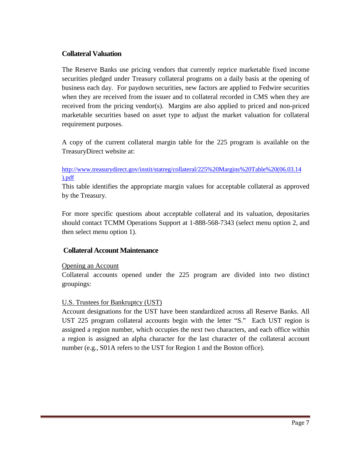#### **Collateral Valuation**

The Reserve Banks use pricing vendors that currently reprice marketable fixed income securities pledged under Treasury collateral programs on a daily basis at the opening of business each day. For paydown securities, new factors are applied to Fedwire securities when they are received from the issuer and to collateral recorded in CMS when they are received from the pricing vendor(s). Margins are also applied to priced and non-priced marketable securities based on asset type to adjust the market valuation for collateral requirement purposes.

A copy of the current collateral margin table for the 225 program is available on the TreasuryDirect website at:

#### [http://www.treasurydirect.gov/instit/statreg/collateral/225%20Margins%20Table%20\(06.03.14](http://www.treasurydirect.gov/instit/statreg/collateral/225%20Margins%20Table%20(06.03.14).pdf) [\).pdf](http://www.treasurydirect.gov/instit/statreg/collateral/225%20Margins%20Table%20(06.03.14).pdf)

This table identifies the appropriate margin values for acceptable collateral as approved by the Treasury.

For more specific questions about acceptable collateral and its valuation, depositaries should contact TCMM Operations Support at 1-888-568-7343 (select menu option 2, and then select menu option 1).

#### **Collateral Account Maintenance**

#### Opening an Account

Collateral accounts opened under the 225 program are divided into two distinct groupings:

#### U.S. Trustees for Bankruptcy (UST)

Account designations for the UST have been standardized across all Reserve Banks. All UST 225 program collateral accounts begin with the letter "S." Each UST region is assigned a region number, which occupies the next two characters, and each office within a region is assigned an alpha character for the last character of the collateral account number (e.g., S01A refers to the UST for Region 1 and the Boston office).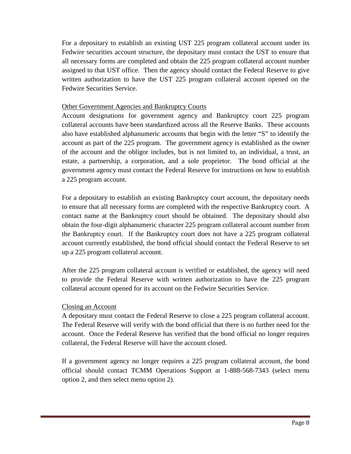For a depositary to establish an existing UST 225 program collateral account under its Fedwire securities account structure, the depositary must contact the UST to ensure that all necessary forms are completed and obtain the 225 program collateral account number assigned to that UST office. Then the agency should contact the Federal Reserve to give written authorization to have the UST 225 program collateral account opened on the Fedwire Securities Service.

#### Other Government Agencies and Bankruptcy Courts

Account designations for government agency and Bankruptcy court 225 program collateral accounts have been standardized across all the Reserve Banks. These accounts also have established alphanumeric accounts that begin with the letter "S" to identify the account as part of the 225 program. The government agency is established as the owner of the account and the obligor includes, but is not limited to, an individual, a trust, an estate, a partnership, a corporation, and a sole proprietor. The bond official at the government agency must contact the Federal Reserve for instructions on how to establish a 225 program account.

For a depositary to establish an existing Bankruptcy court account, the depositary needs to ensure that all necessary forms are completed with the respective Bankruptcy court. A contact name at the Bankruptcy court should be obtained. The depositary should also obtain the four-digit alphanumeric character 225 program collateral account number from the Bankruptcy court. If the Bankruptcy court does not have a 225 program collateral account currently established, the bond official should contact the Federal Reserve to set up a 225 program collateral account.

After the 225 program collateral account is verified or established, the agency will need to provide the Federal Reserve with written authorization to have the 225 program collateral account opened for its account on the Fedwire Securities Service.

#### Closing an Account

A depositary must contact the Federal Reserve to close a 225 program collateral account. The Federal Reserve will verify with the bond official that there is no further need for the account. Once the Federal Reserve has verified that the bond official no longer requires collateral, the Federal Reserve will have the account closed.

If a government agency no longer requires a 225 program collateral account, the bond official should contact TCMM Operations Support at 1-888-568-7343 (select menu option 2, and then select menu option 2).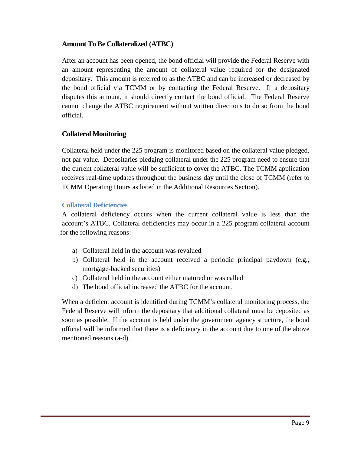#### **Amount To Be Collateralized (ATBC)**

After an account has been opened, the bond official will provide the Federal Reserve with an amount representing the amount of collateral value required for the designated depositary. This amount is referred to as the ATBC and can be increased or decreased by the bond official via TCMM or by contacting the Federal Reserve. If a depositary disputes this amount, it should directly contact the bond official. The Federal Reserve cannot change the ATBC requirement without written directions to do so from the bond official.

#### **Collateral Monitoring**

Collateral held under the 225 program is monitored based on the collateral value pledged, not par value. Depositaries pledging collateral under the 225 program need to ensure that the current collateral value will be sufficient to cover the ATBC. The TCMM application receives real-time updates throughout the business day until the close of TCMM (refer to TCMM Operating Hours as listed in the Additional Resources Section).

#### **Collateral Deficiencies**

A collateral deficiency occurs when the current collateral value is less than the account's ATBC. Collateral deficiencies may occur in a 225 program collateral account for the following reasons:

- a) Collateral held in the account was revalued
- b) Collateral held in the account received a periodic principal paydown (e.g., mortgage-backed securities)
- c) Collateral held in the account either matured or was called
- d) The bond official increased the ATBC for the account.

When a deficient account is identified during TCMM's collateral monitoring process, the Federal Reserve will inform the depositary that additional collateral must be deposited as soon as possible. If the account is held under the government agency structure, the bond official will be informed that there is a deficiency in the account due to one of the above mentioned reasons (a-d).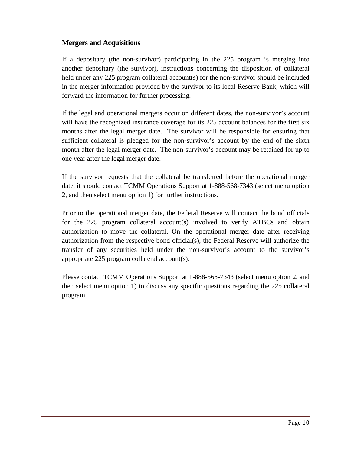### **Mergers and Acquisitions**

If a depositary (the non-survivor) participating in the 225 program is merging into another depositary (the survivor), instructions concerning the disposition of collateral held under any 225 program collateral account(s) for the non-survivor should be included in the merger information provided by the survivor to its local Reserve Bank, which will forward the information for further processing.

If the legal and operational mergers occur on different dates, the non-survivor's account will have the recognized insurance coverage for its 225 account balances for the first six months after the legal merger date. The survivor will be responsible for ensuring that sufficient collateral is pledged for the non-survivor's account by the end of the sixth month after the legal merger date. The non-survivor's account may be retained for up to one year after the legal merger date.

If the survivor requests that the collateral be transferred before the operational merger date, it should contact TCMM Operations Support at 1-888-568-7343 (select menu option 2, and then select menu option 1) for further instructions.

Prior to the operational merger date, the Federal Reserve will contact the bond officials for the 225 program collateral account(s) involved to verify ATBCs and obtain authorization to move the collateral. On the operational merger date after receiving authorization from the respective bond official(s), the Federal Reserve will authorize the transfer of any securities held under the non-survivor's account to the survivor's appropriate 225 program collateral account(s).

Please contact TCMM Operations Support at 1-888-568-7343 (select menu option 2, and then select menu option 1) to discuss any specific questions regarding the 225 collateral program.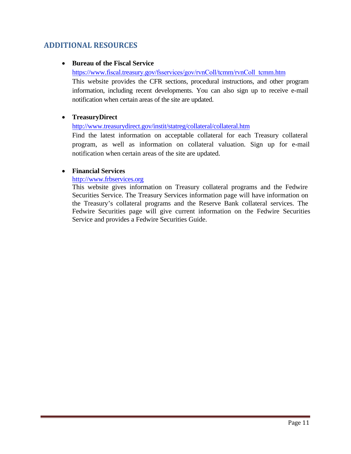# **ADDITIONAL RESOURCES**

#### • **Bureau of the Fiscal Service**

https://www.fiscal.treasury.gov/[fsservices/gov/rvnColl/tcmm/rvnColl\\_tcmm.htm](https://www.fiscal.treasury.gov/fsservices/gov/rvnColl/tcmm/rvnColl_tcmm.htm)

This website provides the CFR sections, procedural instructions, and other program information, including recent developments. You can also sign up to receive e-mail notification when certain areas of the site are updated.

#### • **TreasuryDirect**

#### <http://www.treasurydirect.gov/instit/statreg/collateral/collateral.htm>

Find the latest information on acceptable collateral for each Treasury collateral program, as well as information on collateral valuation. Sign up for e-mail notification when certain areas of the site are updated.

#### • **Financial Services**

#### http:/[/www.frbservices.org](http://www.frbservices.org/)

This website gives information on Treasury collateral programs and the Fedwire Securities Service. The Treasury Services information page will have information on the Treasury's collateral programs and the Reserve Bank collateral services. The Fedwire Securities page will give current information on the Fedwire Securities Service and provides a Fedwire Securities Guide.